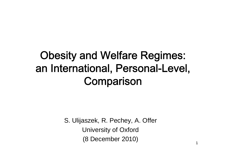#### Obesity and Welfare Regimes: an International, Personal-Level, **Comparison**

S. Ulijaszek, R. Pechey, A. Offer University of Oxford (8 December 2010)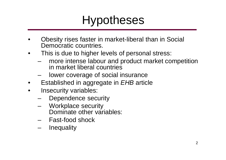### Hypotheses

- Obesity rises faster in market-liberal than in Social Democratic countries.
- This is due to higher levels of personal stress:
	- more intense labour and product market competition in market liberal countries
	- lower coverage of social insurance
- Established in aggregate in *EHB* article
- Insecurity variables:
	- Dependence security
	- Workplace security Dominate other variables:
	- Fast-food shock
	- **Inequality**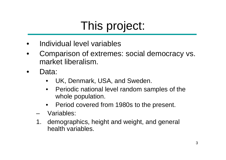### This project:

- Individual level variables
- Comparison of extremes: social democracy vs. market liberalism.
- Data:
	- UK, Denmark, USA, and Sweden.
	- Periodic national level random samples of the whole population.
	- Period covered from 1980s to the present.
	- Variables:
	- 1. demographics, height and weight, and general health variables.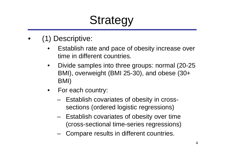# **Strategy**

- (1) Descriptive:
	- Establish rate and pace of obesity increase over time in different countries.
	- Divide samples into three groups: normal (20-25 BMI), overweight (BMI 25-30), and obese (30+ BMI)
	- For each country:
		- Establish covariates of obesity in crosssections (ordered logistic regressions)
		- Establish covariates of obesity over time (cross-sectional time-series regressions)
		- Compare results in different countries.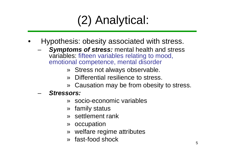# (2) Analytical:

- Hypothesis: obesity associated with stress.
	- *Symptoms of stress:* mental health and stress variables: fifteen variables relating to mood, emotional competence, mental disorder
		- » Stress not always observable.
		- » Differential resilience to stress.
		- » Causation may be from obesity to stress.
	- *Stressors:*
		- » socio-economic variables
		- » family status
		- » settlement rank
		- » occupation
		- » welfare regime attributes
		- » fast-food shock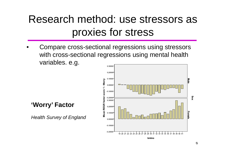#### Research method: use stressors as proxies for stress

• Compare cross-sectional regressions using stressors with cross-sectional regressions using mental health variables. e.g.



bmino

**'Worry' Factor**

*Health Survey of England*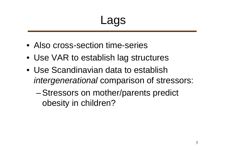Lags

- Also cross-section time-series
- Use VAR to establish lag structures
- Use Scandinavian data to establish *intergenerational* comparison of stressors:
	- Stressors on mother/parents predict obesity in children?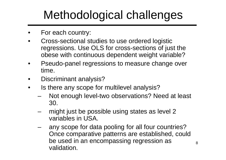# Methodological challenges

- For each country:
- Cross-sectional studies to use ordered logistic regressions. Use OLS for cross-sections of just the obese with continuous dependent weight variable?
- Pseudo-panel regressions to measure change over time.
- Discriminant analysis?
- Is there any scope for multilevel analysis?
	- Not enough level-two observations? Need at least 30.
	- might just be possible using states as level 2 variables in USA.
	- any scope for data pooling for all four countries? Once comparative patterns are established, could be used in an encompassing regression as validation.